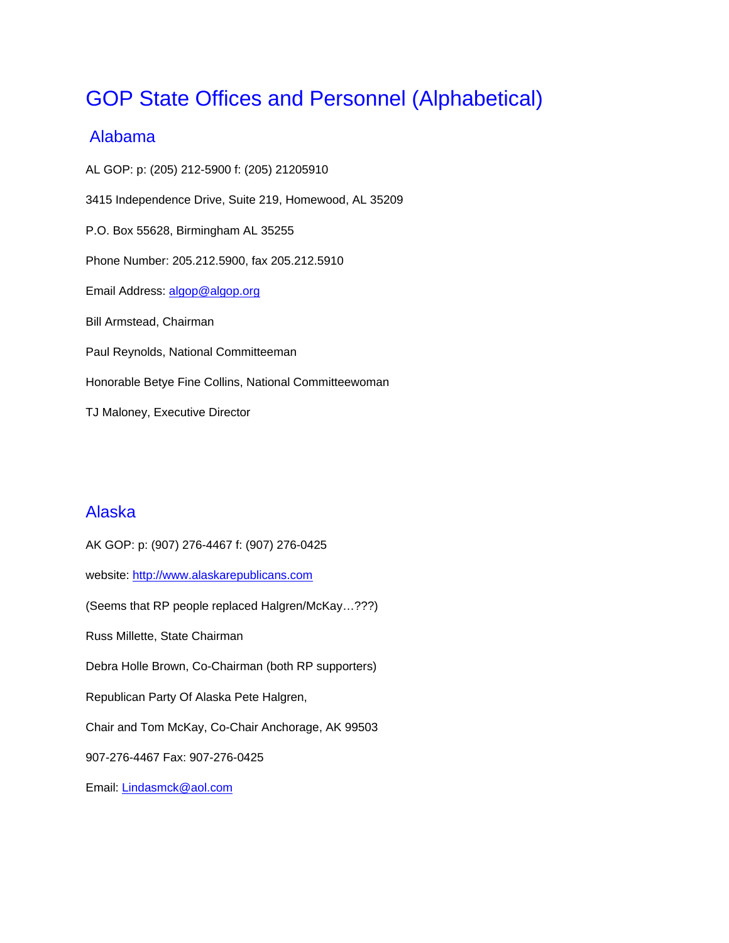# GOP State Offices and Personnel (Alphabetical)

## Alabama

AL GOP: p: (205) 212-5900 f: (205) 21205910 3415 Independence Drive, Suite 219, Homewood, AL 35209 P.O. Box 55628, Birmingham AL 35255 Phone Number: 205.212.5900, fax 205.212.5910 Email Address: algop@algop.org Bill Armstead, Chairman Paul Reynolds, National Committeeman Honorable Betye Fine Collins, National Committeewoman TJ Maloney, Executive Director

## Alaska

AK GOP: p: (907) 276-4467 f: (907) 276-0425 website: http://www.alaskarepublicans.com (Seems that RP people replaced Halgren/McKay…???) Russ Millette, State Chairman Debra Holle Brown, Co-Chairman (both RP supporters) Republican Party Of Alaska Pete Halgren, Chair and Tom McKay, Co-Chair Anchorage, AK 99503 907-276-4467 Fax: 907-276-0425 Email: Lindasmck@aol.com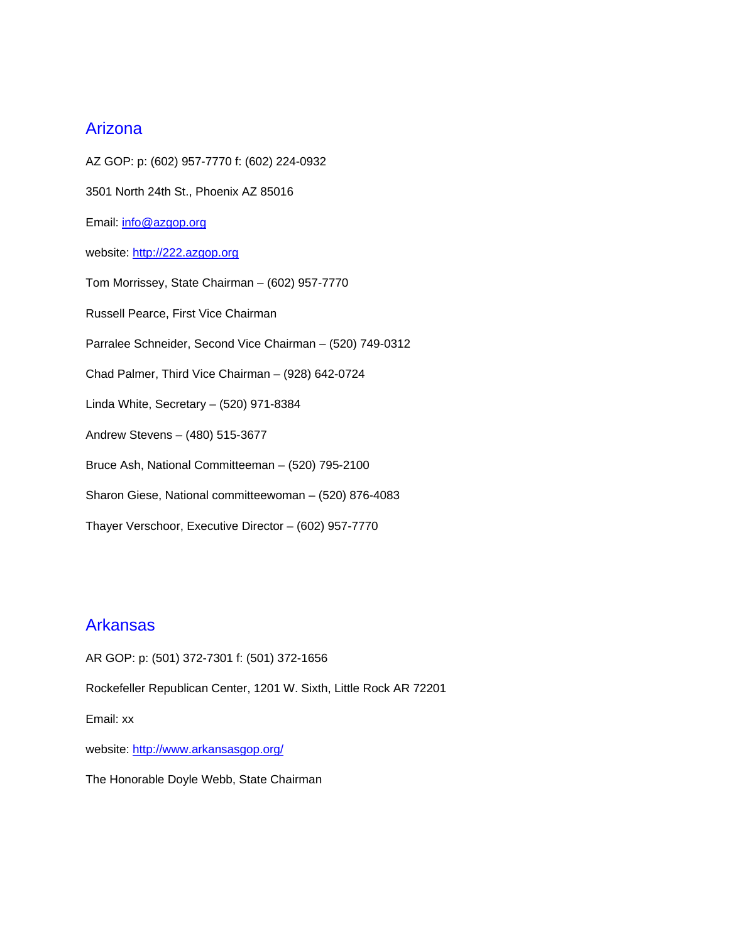## Arizona

AZ GOP: p: (602) 957-7770 f: (602) 224-0932 3501 North 24th St., Phoenix AZ 85016 Email: info@azgop.org website: http://222.azgop.org Tom Morrissey, State Chairman – (602) 957-7770 Russell Pearce, First Vice Chairman Parralee Schneider, Second Vice Chairman – (520) 749-0312 Chad Palmer, Third Vice Chairman – (928) 642-0724 Linda White, Secretary – (520) 971-8384 Andrew Stevens – (480) 515-3677 Bruce Ash, National Committeeman – (520) 795-2100 Sharon Giese, National committeewoman – (520) 876-4083 Thayer Verschoor, Executive Director – (602) 957-7770

## Arkansas

AR GOP: p: (501) 372-7301 f: (501) 372-1656 Rockefeller Republican Center, 1201 W. Sixth, Little Rock AR 72201 Email: xx website: http://www.arkansasgop.org/ The Honorable Doyle Webb, State Chairman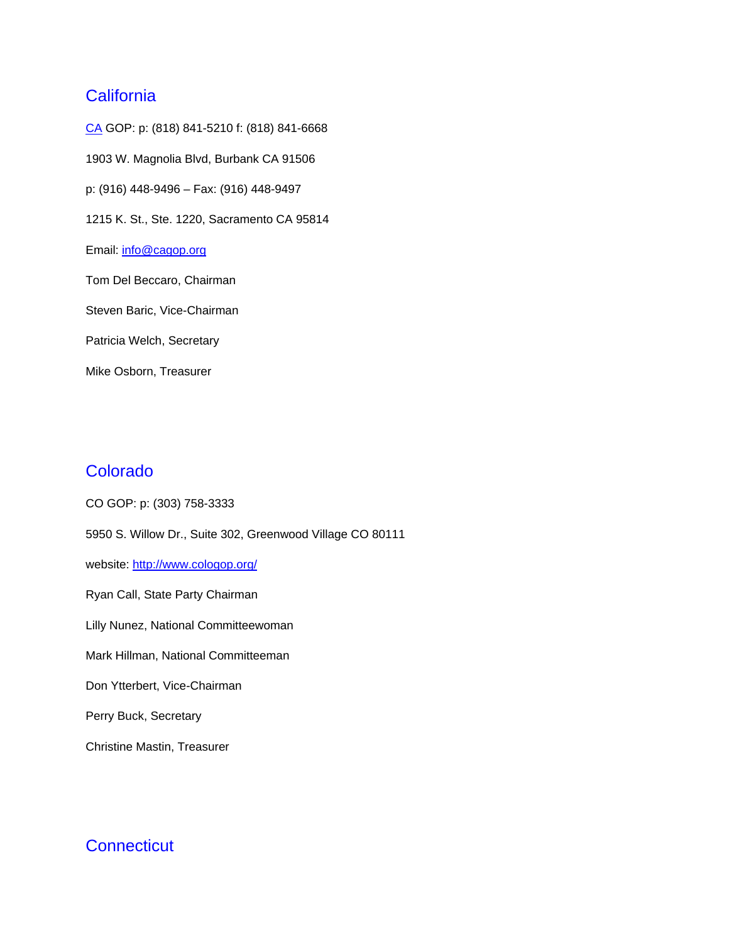## **California**

CA GOP: p: (818) 841-5210 f: (818) 841-6668 1903 W. Magnolia Blvd, Burbank CA 91506 p: (916) 448-9496 – Fax: (916) 448-9497 1215 K. St., Ste. 1220, Sacramento CA 95814 Email: info@cagop.org Tom Del Beccaro, Chairman Steven Baric, Vice-Chairman Patricia Welch, Secretary Mike Osborn, Treasurer

## Colorado

CO GOP: p: (303) 758-3333 5950 S. Willow Dr., Suite 302, Greenwood Village CO 80111 website: http://www.cologop.org/ Ryan Call, State Party Chairman Lilly Nunez, National Committeewoman Mark Hillman, National Committeeman Don Ytterbert, Vice-Chairman Perry Buck, Secretary Christine Mastin, Treasurer

## **Connecticut**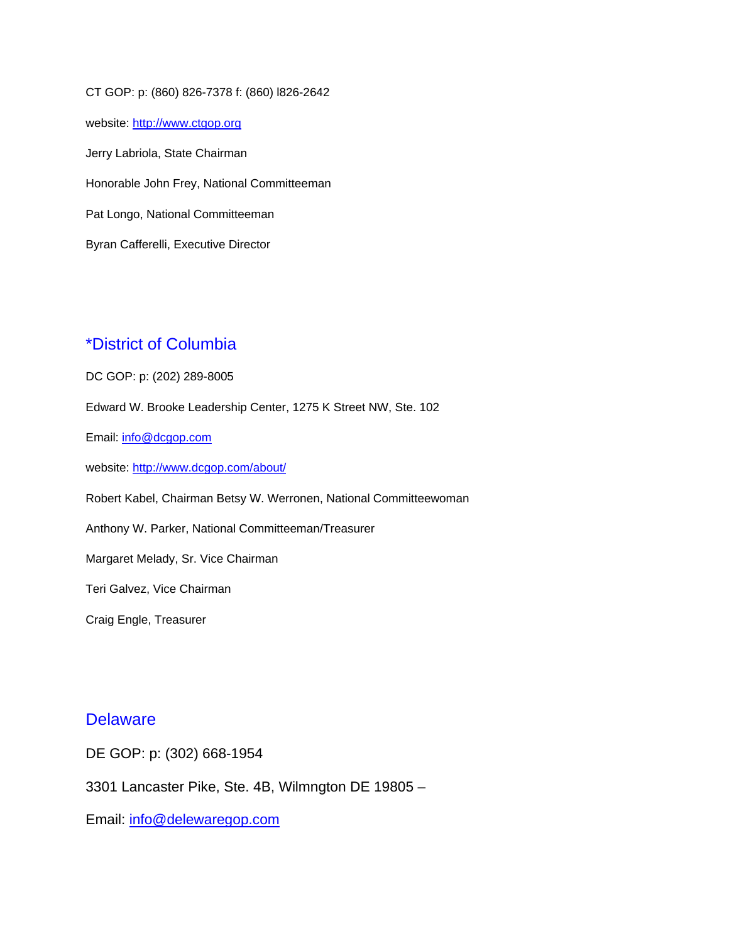CT GOP: p: (860) 826-7378 f: (860) l826-2642 website: http://www.ctgop.org Jerry Labriola, State Chairman Honorable John Frey, National Committeeman Pat Longo, National Committeeman Byran Cafferelli, Executive Director

#### \*District of Columbia

DC GOP: p: (202) 289-8005 Edward W. Brooke Leadership Center, 1275 K Street NW, Ste. 102 Email: info@dcgop.com website: http://www.dcgop.com/about/ Robert Kabel, Chairman Betsy W. Werronen, National Committeewoman Anthony W. Parker, National Committeeman/Treasurer Margaret Melady, Sr. Vice Chairman Teri Galvez, Vice Chairman Craig Engle, Treasurer

#### **Delaware**

DE GOP: p: (302) 668-1954

3301 Lancaster Pike, Ste. 4B, Wilmngton DE 19805 –

Email: info@delewaregop.com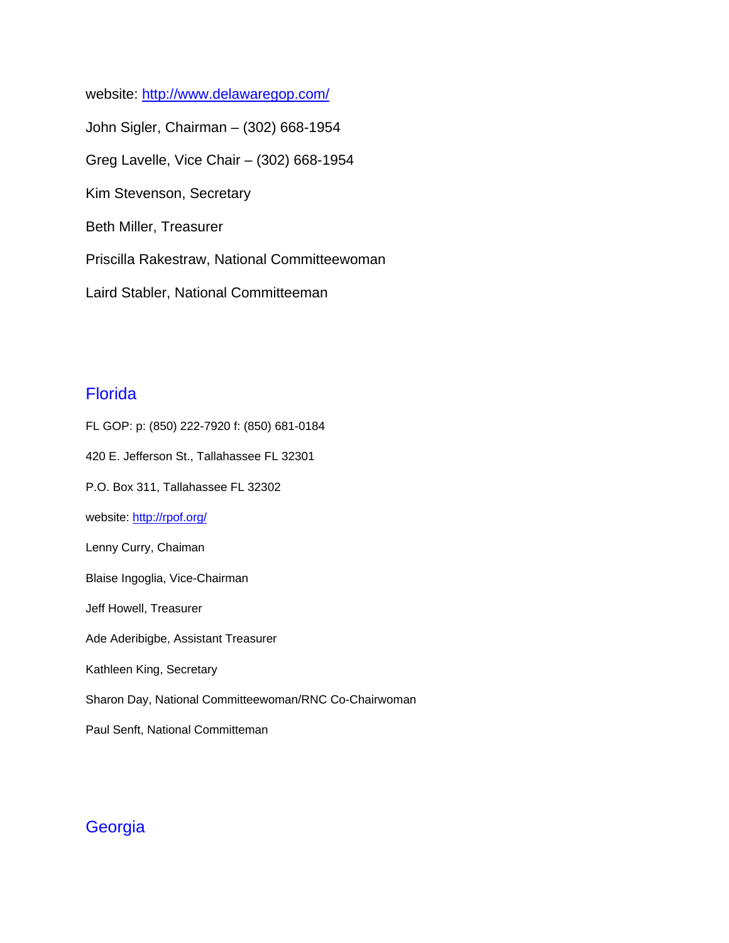website: http://www.delawaregop.com/ John Sigler, Chairman – (302) 668-1954 Greg Lavelle, Vice Chair – (302) 668-1954 Kim Stevenson, Secretary Beth Miller, Treasurer Priscilla Rakestraw, National Committeewoman Laird Stabler, National Committeeman

## Florida

FL GOP: p: (850) 222-7920 f: (850) 681-0184 420 E. Jefferson St., Tallahassee FL 32301 P.O. Box 311, Tallahassee FL 32302 website: http://rpof.org/ Lenny Curry, Chaiman Blaise Ingoglia, Vice-Chairman Jeff Howell, Treasurer Ade Aderibigbe, Assistant Treasurer Kathleen King, Secretary Sharon Day, National Committeewoman/RNC Co-Chairwoman

Paul Senft, National Committeman

## **Georgia**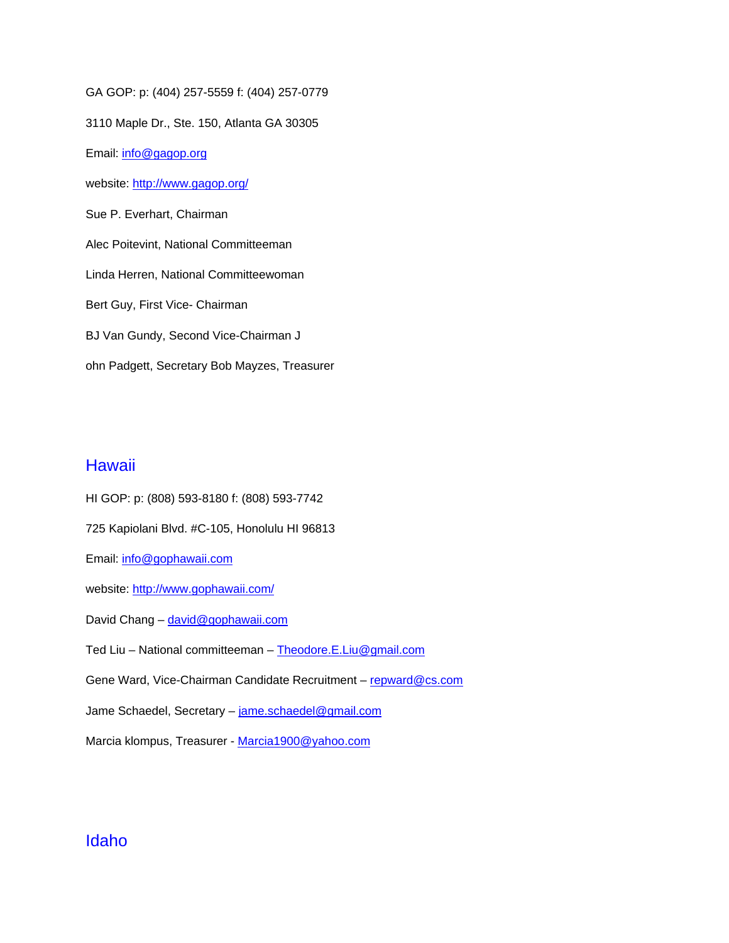GA GOP: p: (404) 257-5559 f: (404) 257-0779

3110 Maple Dr., Ste. 150, Atlanta GA 30305

Email: info@gagop.org

website: http://www.gagop.org/

Sue P. Everhart, Chairman

Alec Poitevint, National Committeeman

Linda Herren, National Committeewoman

Bert Guy, First Vice- Chairman

BJ Van Gundy, Second Vice-Chairman J

ohn Padgett, Secretary Bob Mayzes, Treasurer

#### **Hawaii**

HI GOP: p: (808) 593-8180 f: (808) 593-7742 725 Kapiolani Blvd. #C-105, Honolulu HI 96813 Email: info@gophawaii.com website: http://www.gophawaii.com/ David Chang - david@gophawaii.com Ted Liu – National committeeman – Theodore.E.Liu@gmail.com Gene Ward, Vice-Chairman Candidate Recruitment - repward@cs.com Jame Schaedel, Secretary - jame.schaedel@gmail.com Marcia klompus, Treasurer - Marcia1900@yahoo.com

#### Idaho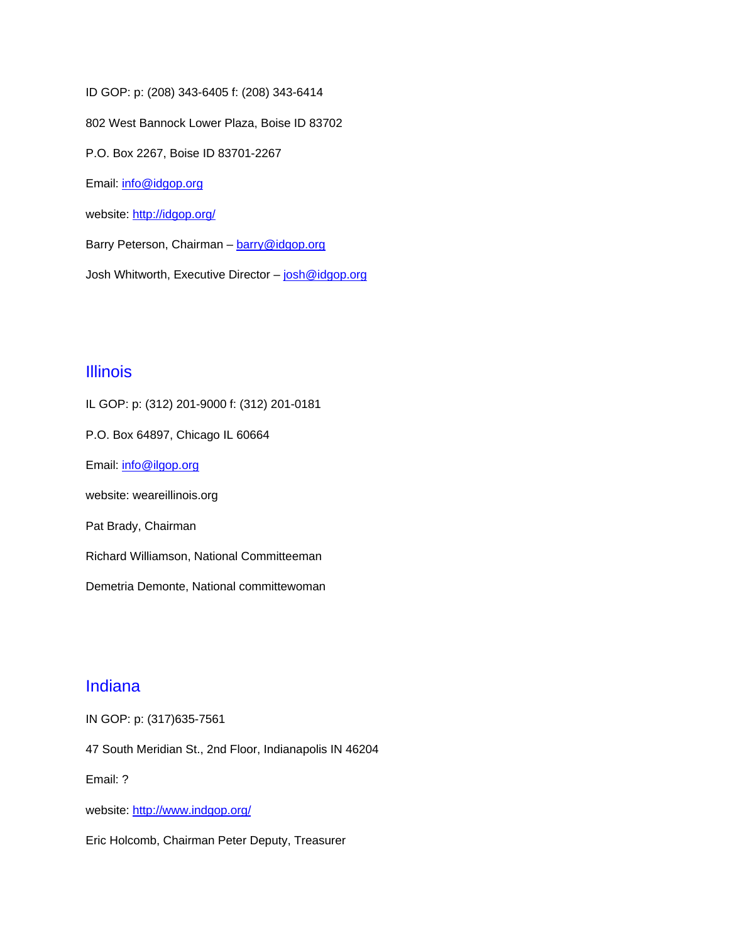ID GOP: p: (208) 343-6405 f: (208) 343-6414 802 West Bannock Lower Plaza, Boise ID 83702 P.O. Box 2267, Boise ID 83701-2267 Email: info@idgop.org website: http://idgop.org/ Barry Peterson, Chairman - barry@idgop.org

Josh Whitworth, Executive Director - josh@idgop.org

#### Illinois

IL GOP: p: (312) 201-9000 f: (312) 201-0181 P.O. Box 64897, Chicago IL 60664 Email: info@ilgop.org website: weareillinois.org Pat Brady, Chairman Richard Williamson, National Committeeman Demetria Demonte, National committewoman

## Indiana

IN GOP: p: (317)635-7561

47 South Meridian St., 2nd Floor, Indianapolis IN 46204

Email: ?

website: http://www.indgop.org/

Eric Holcomb, Chairman Peter Deputy, Treasurer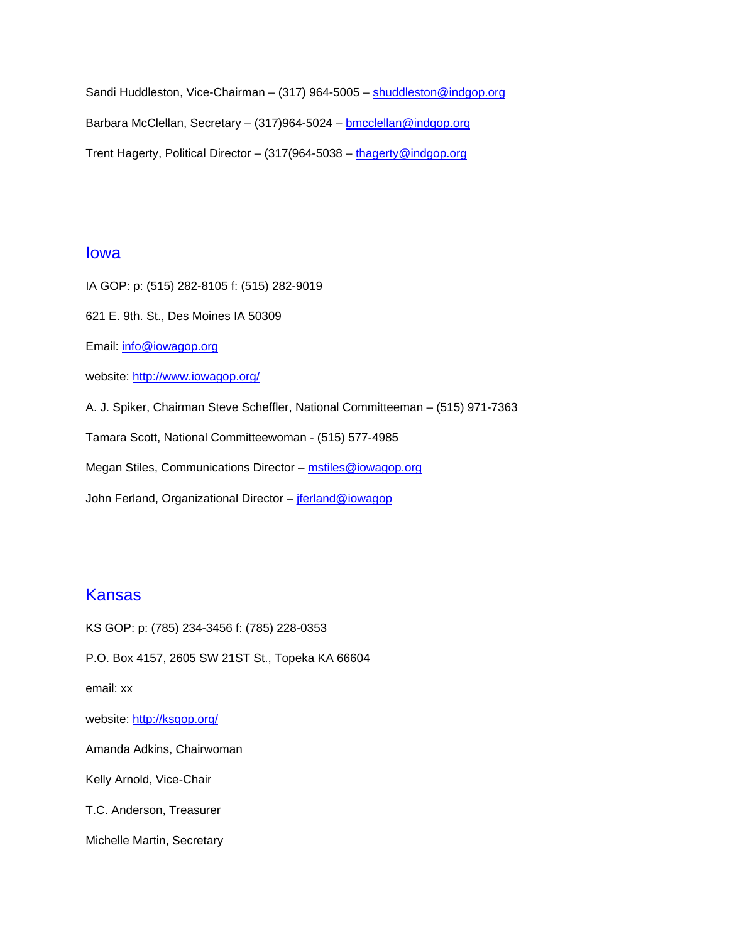Sandi Huddleston, Vice-Chairman – (317) 964-5005 – shuddleston@indgop.org Barbara McClellan, Secretary – (317)964-5024 – **bmcclellan@indgop.org** Trent Hagerty, Political Director - (317(964-5038 - thagerty@indgop.org

#### Iowa

IA GOP: p: (515) 282-8105 f: (515) 282-9019

621 E. 9th. St., Des Moines IA 50309

Email: info@iowagop.org

website: http://www.iowagop.org/

A. J. Spiker, Chairman Steve Scheffler, National Committeeman – (515) 971-7363

Tamara Scott, National Committeewoman - (515) 577-4985

Megan Stiles, Communications Director - mstiles@iowagop.org

John Ferland, Organizational Director - jferland@iowagop

#### Kansas

KS GOP: p: (785) 234-3456 f: (785) 228-0353 P.O. Box 4157, 2605 SW 21ST St., Topeka KA 66604 email: xx website: http://ksgop.org/ Amanda Adkins, Chairwoman Kelly Arnold, Vice-Chair T.C. Anderson, Treasurer Michelle Martin, Secretary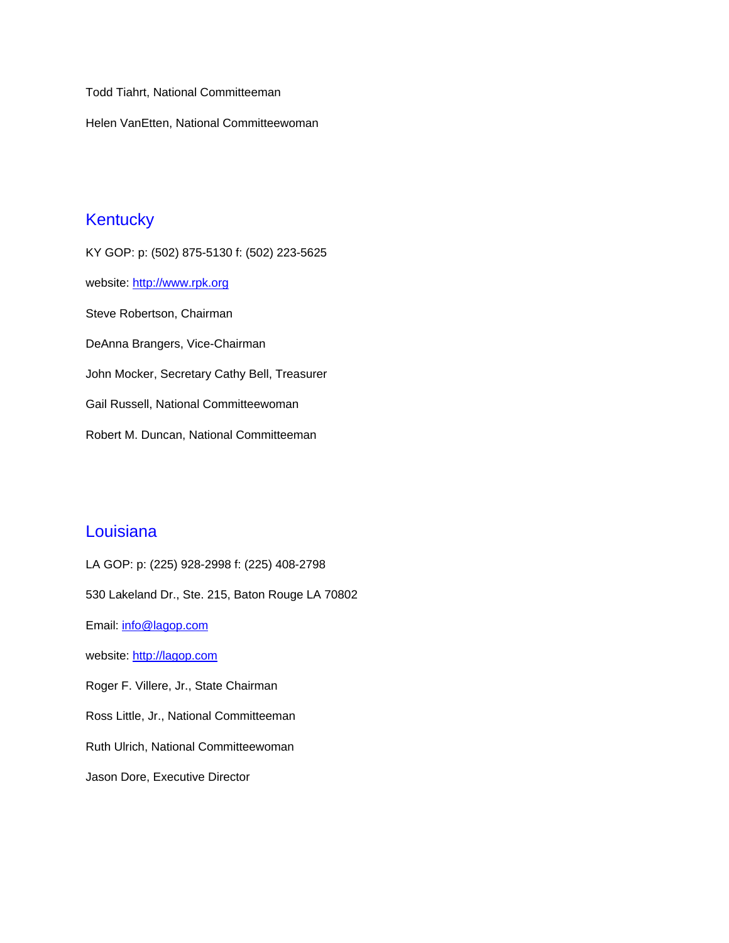Todd Tiahrt, National Committeeman

Helen VanEtten, National Committeewoman

## **Kentucky**

KY GOP: p: (502) 875-5130 f: (502) 223-5625 website: http://www.rpk.org Steve Robertson, Chairman DeAnna Brangers, Vice-Chairman John Mocker, Secretary Cathy Bell, Treasurer Gail Russell, National Committeewoman Robert M. Duncan, National Committeeman

#### **Louisiana**

LA GOP: p: (225) 928-2998 f: (225) 408-2798 530 Lakeland Dr., Ste. 215, Baton Rouge LA 70802 Email: info@lagop.com website: http://lagop.com Roger F. Villere, Jr., State Chairman Ross Little, Jr., National Committeeman Ruth Ulrich, National Committeewoman Jason Dore, Executive Director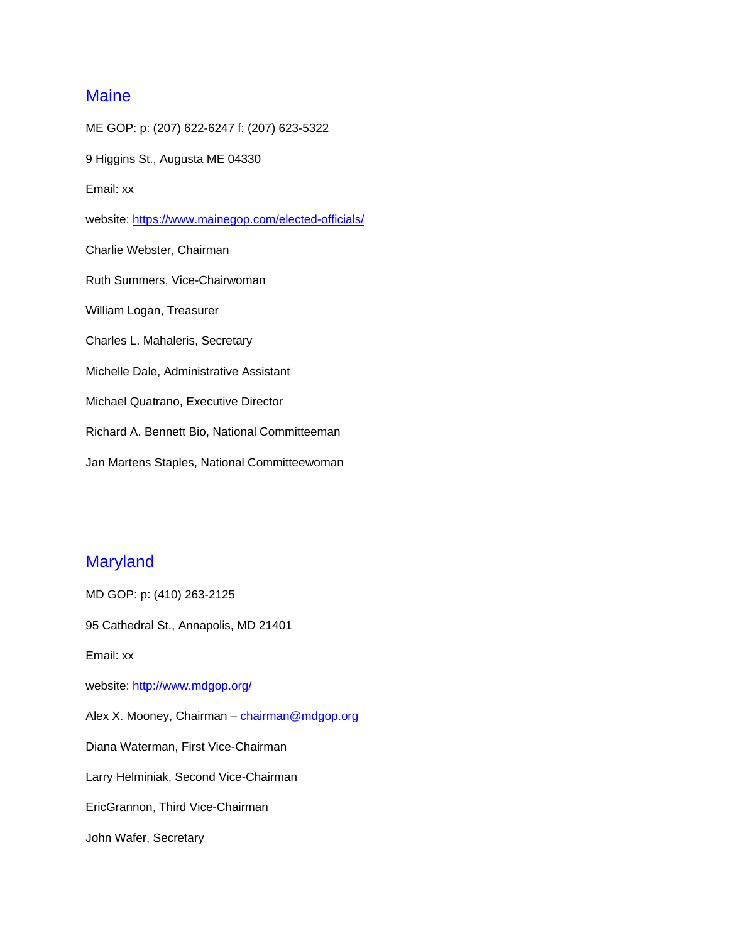## **Maine**

ME GOP: p: (207) 622-6247 f: (207) 623-5322 9 Higgins St., Augusta ME 04330 Email: xx website: https://www.mainegop.com/elected-officials/ Charlie Webster, Chairman Ruth Summers, Vice-Chairwoman William Logan, Treasurer Charles L. Mahaleris, Secretary Michelle Dale, Administrative Assistant Michael Quatrano, Executive Director Richard A. Bennett Bio, National Committeeman Jan Martens Staples, National Committeewoman

## **Maryland**

MD GOP: p: (410) 263-2125 95 Cathedral St., Annapolis, MD 21401 Email: xx website: http://www.mdgop.org/ Alex X. Mooney, Chairman - chairman@mdgop.org Diana Waterman, First Vice-Chairman Larry Helminiak, Second Vice-Chairman EricGrannon, Third Vice-Chairman John Wafer, Secretary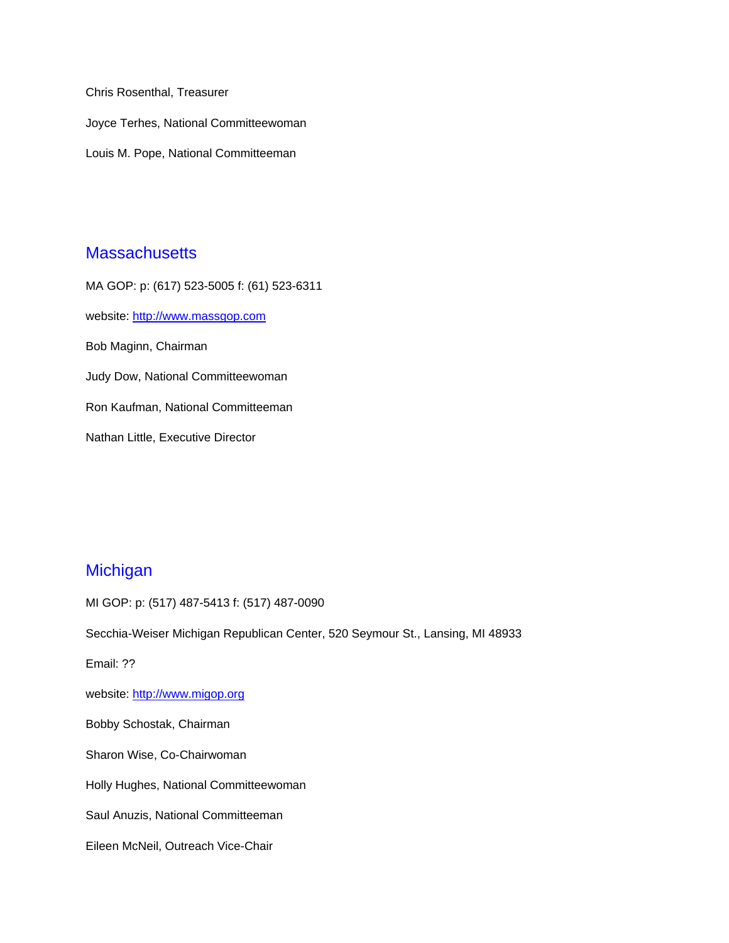Chris Rosenthal, Treasurer Joyce Terhes, National Committeewoman Louis M. Pope, National Committeeman

#### **Massachusetts**

MA GOP: p: (617) 523-5005 f: (61) 523-6311 website: http://www.massgop.com Bob Maginn, Chairman Judy Dow, National Committeewoman Ron Kaufman, National Committeeman Nathan Little, Executive Director

## **Michigan**

MI GOP: p: (517) 487-5413 f: (517) 487-0090 Secchia-Weiser Michigan Republican Center, 520 Seymour St., Lansing, MI 48933 Email: ?? website: http://www.migop.org Bobby Schostak, Chairman Sharon Wise, Co-Chairwoman Holly Hughes, National Committeewoman Saul Anuzis, National Committeeman Eileen McNeil, Outreach Vice-Chair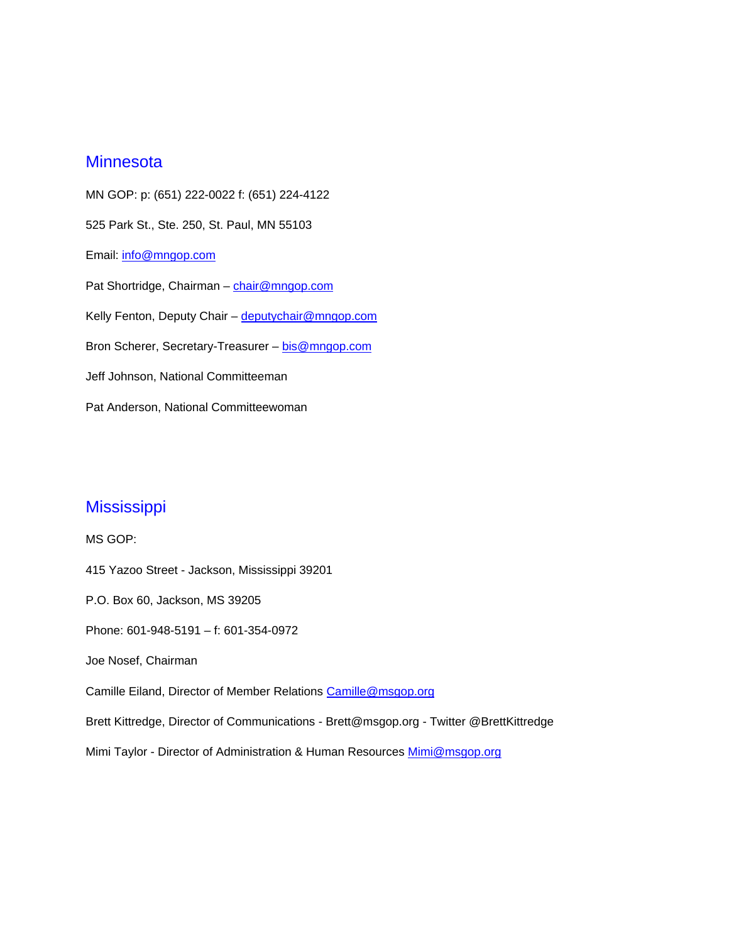#### **Minnesota**

MN GOP: p: (651) 222-0022 f: (651) 224-4122 525 Park St., Ste. 250, St. Paul, MN 55103 Email: info@mngop.com Pat Shortridge, Chairman - chair@mngop.com Kelly Fenton, Deputy Chair - deputychair@mngop.com Bron Scherer, Secretary-Treasurer - bis@mngop.com Jeff Johnson, National Committeeman Pat Anderson, National Committeewoman

## **Mississippi**

MS GOP: 415 Yazoo Street - Jackson, Mississippi 39201 P.O. Box 60, Jackson, MS 39205 Phone: 601-948-5191 – f: 601-354-0972 Joe Nosef, Chairman Camille Eiland, Director of Member Relations Camille@msgop.org Brett Kittredge, Director of Communications - Brett@msgop.org - Twitter @BrettKittredge Mimi Taylor - Director of Administration & Human Resources Mimi@msgop.org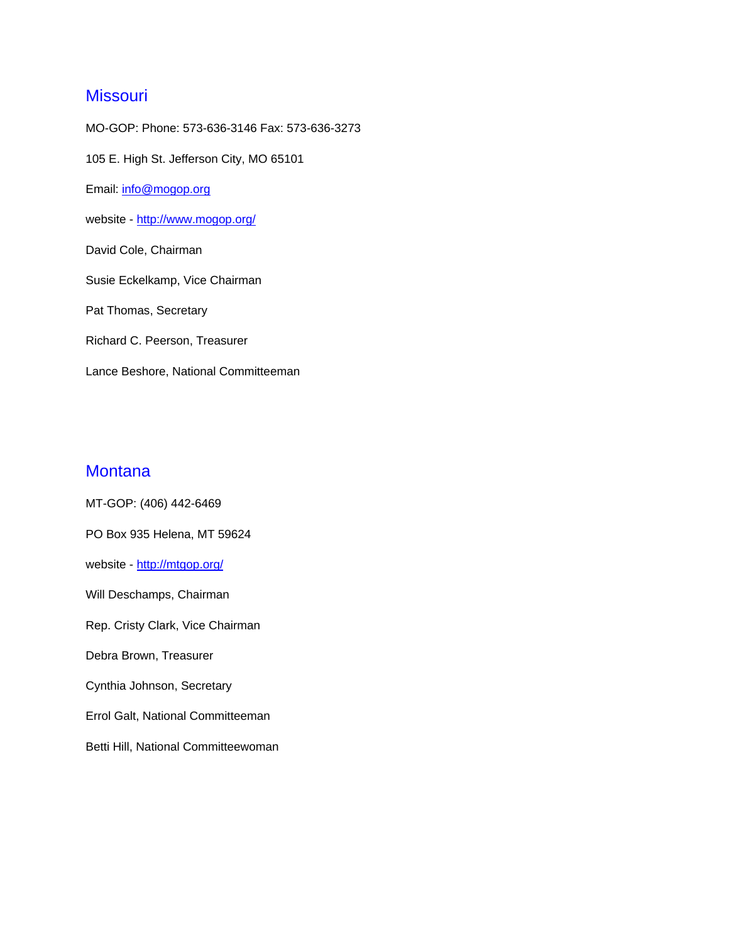## **Missouri**

MO-GOP: Phone: 573-636-3146 Fax: 573-636-3273 105 E. High St. Jefferson City, MO 65101 Email: info@mogop.org website - http://www.mogop.org/ David Cole, Chairman Susie Eckelkamp, Vice Chairman Pat Thomas, Secretary Richard C. Peerson, Treasurer Lance Beshore, National Committeeman

#### **Montana**

MT-GOP: (406) 442-6469 PO Box 935 Helena, MT 59624 website - http://mtgop.org/ Will Deschamps, Chairman Rep. Cristy Clark, Vice Chairman Debra Brown, Treasurer Cynthia Johnson, Secretary Errol Galt, National Committeeman Betti Hill, National Committeewoman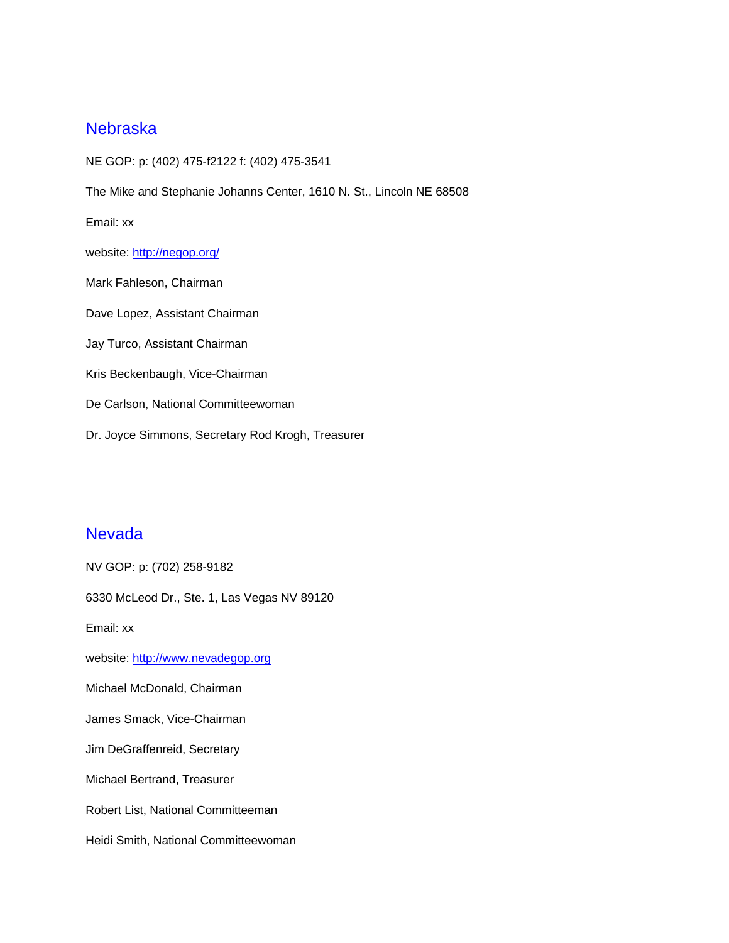#### Nebraska

NE GOP: p: (402) 475-f2122 f: (402) 475-3541 The Mike and Stephanie Johanns Center, 1610 N. St., Lincoln NE 68508 Email: xx website: http://negop.org/ Mark Fahleson, Chairman Dave Lopez, Assistant Chairman Jay Turco, Assistant Chairman Kris Beckenbaugh, Vice-Chairman De Carlson, National Committeewoman Dr. Joyce Simmons, Secretary Rod Krogh, Treasurer

#### **Nevada**

NV GOP: p: (702) 258-9182 6330 McLeod Dr., Ste. 1, Las Vegas NV 89120 Email: xx website: http://www.nevadegop.org Michael McDonald, Chairman James Smack, Vice-Chairman Jim DeGraffenreid, Secretary Michael Bertrand, Treasurer Robert List, National Committeeman Heidi Smith, National Committeewoman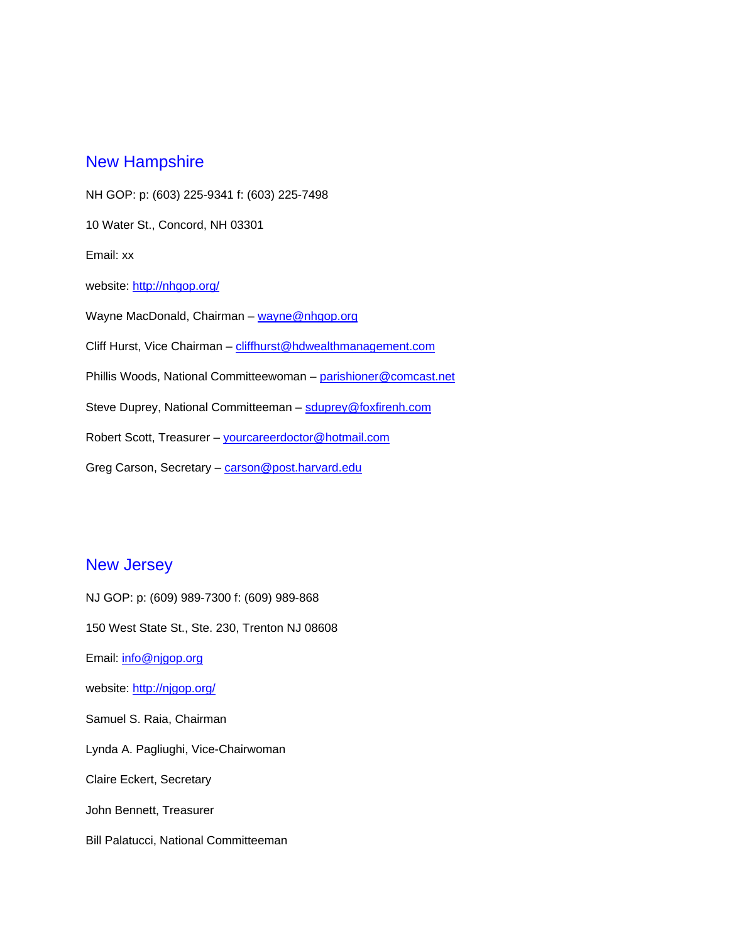#### New Hampshire

NH GOP: p: (603) 225-9341 f: (603) 225-7498 10 Water St., Concord, NH 03301 Email: xx website: http://nhgop.org/ Wayne MacDonald, Chairman - wayne@nhgop.org Cliff Hurst, Vice Chairman - cliffhurst@hdwealthmanagement.com Phillis Woods, National Committeewoman – parishioner@comcast.net Steve Duprey, National Committeeman – sduprey@foxfirenh.com Robert Scott, Treasurer - yourcareerdoctor@hotmail.com Greg Carson, Secretary - carson@post.harvard.edu

## New Jersey

NJ GOP: p: (609) 989-7300 f: (609) 989-868 150 West State St., Ste. 230, Trenton NJ 08608 Email: info@njgop.org website: http://njgop.org/ Samuel S. Raia, Chairman Lynda A. Pagliughi, Vice-Chairwoman Claire Eckert, Secretary John Bennett, Treasurer Bill Palatucci, National Committeeman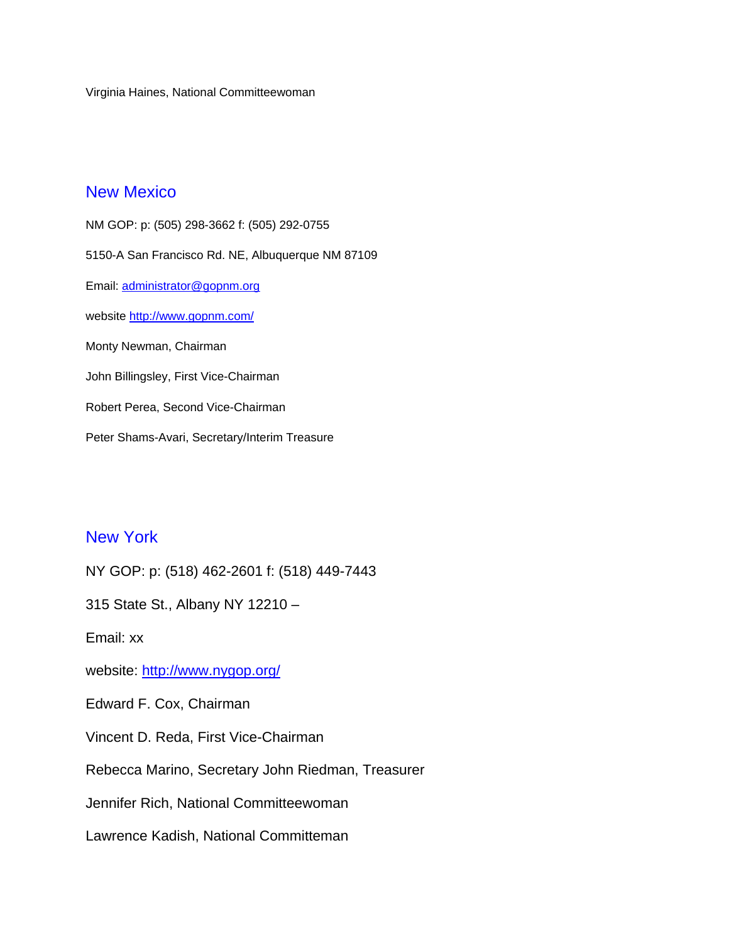Virginia Haines, National Committeewoman

#### New Mexico

NM GOP: p: (505) 298-3662 f: (505) 292-0755 5150-A San Francisco Rd. NE, Albuquerque NM 87109 Email: administrator@gopnm.org website http://www.gopnm.com/ Monty Newman, Chairman John Billingsley, First Vice-Chairman Robert Perea, Second Vice-Chairman Peter Shams-Avari, Secretary/Interim Treasure

#### New York

NY GOP: p: (518) 462-2601 f: (518) 449-7443

315 State St., Albany NY 12210 –

Email: xx

website: http://www.nygop.org/

Edward F. Cox, Chairman

Vincent D. Reda, First Vice-Chairman

Rebecca Marino, Secretary John Riedman, Treasurer

Jennifer Rich, National Committeewoman

Lawrence Kadish, National Committeman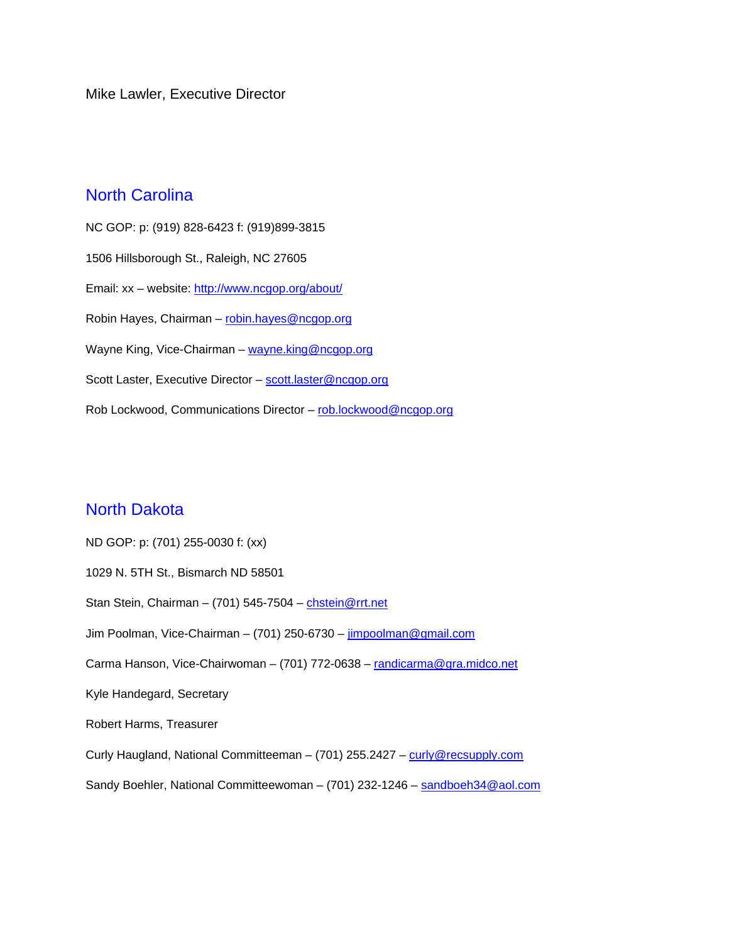Mike Lawler, Executive Director

## North Carolina

NC GOP: p: (919) 828-6423 f: (919)899-3815 1506 Hillsborough St., Raleigh, NC 27605 Email: xx – website: http://www.ncgop.org/about/ Robin Hayes, Chairman - robin.hayes@ncgop.org Wayne King, Vice-Chairman - wayne.king@ncgop.org Scott Laster, Executive Director - scott.laster@ncgop.org Rob Lockwood, Communications Director - rob.lockwood@ncgop.org

#### North Dakota

ND GOP: p: (701) 255-0030 f: (xx) 1029 N. 5TH St., Bismarch ND 58501 Stan Stein, Chairman – (701) 545-7504 – chstein@rrt.net Jim Poolman, Vice-Chairman – (701) 250-6730 – jimpoolman@gmail.com Carma Hanson, Vice-Chairwoman – (701) 772-0638 – randicarma@gra.midco.net Kyle Handegard, Secretary Robert Harms, Treasurer Curly Haugland, National Committeeman - (701) 255.2427 - curly@recsupply.com Sandy Boehler, National Committeewoman – (701) 232-1246 – sandboeh34@aol.com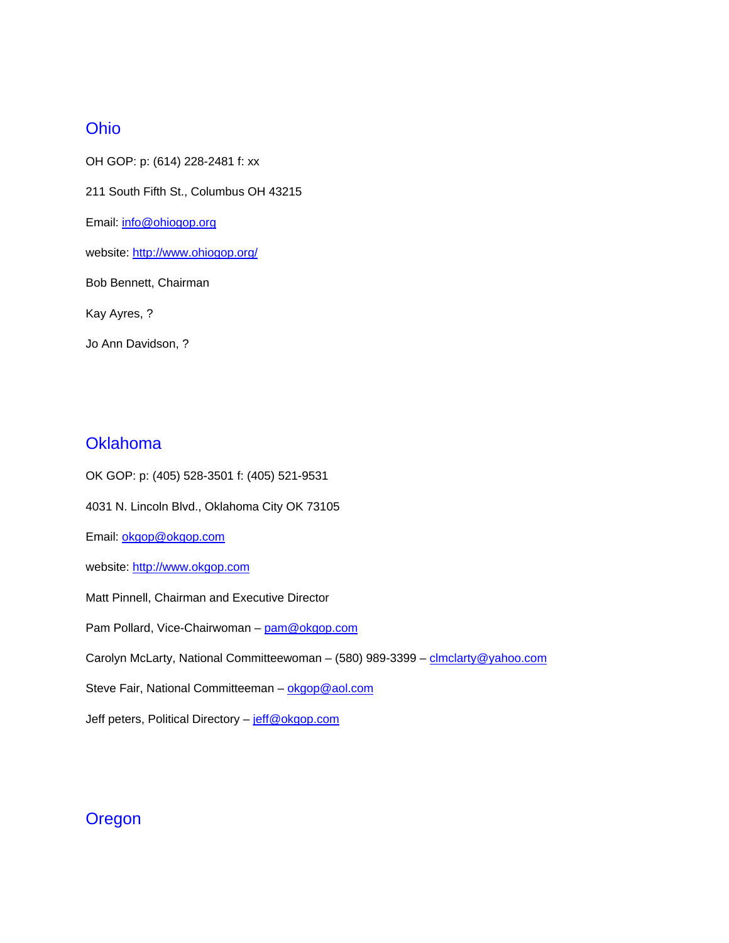## Ohio

OH GOP: p: (614) 228-2481 f: xx 211 South Fifth St., Columbus OH 43215 Email: info@ohiogop.org website: http://www.ohiogop.org/ Bob Bennett, Chairman Kay Ayres, ? Jo Ann Davidson, ?

## **Oklahoma**

OK GOP: p: (405) 528-3501 f: (405) 521-9531 4031 N. Lincoln Blvd., Oklahoma City OK 73105 Email: okgop@okgop.com website: http://www.okgop.com Matt Pinnell, Chairman and Executive Director Pam Pollard, Vice-Chairwoman - pam@okgop.com Carolyn McLarty, National Committeewoman - (580) 989-3399 - clmclarty@yahoo.com Steve Fair, National Committeeman - okgop@aol.com Jeff peters, Political Directory - jeff@okgop.com

## **Oregon**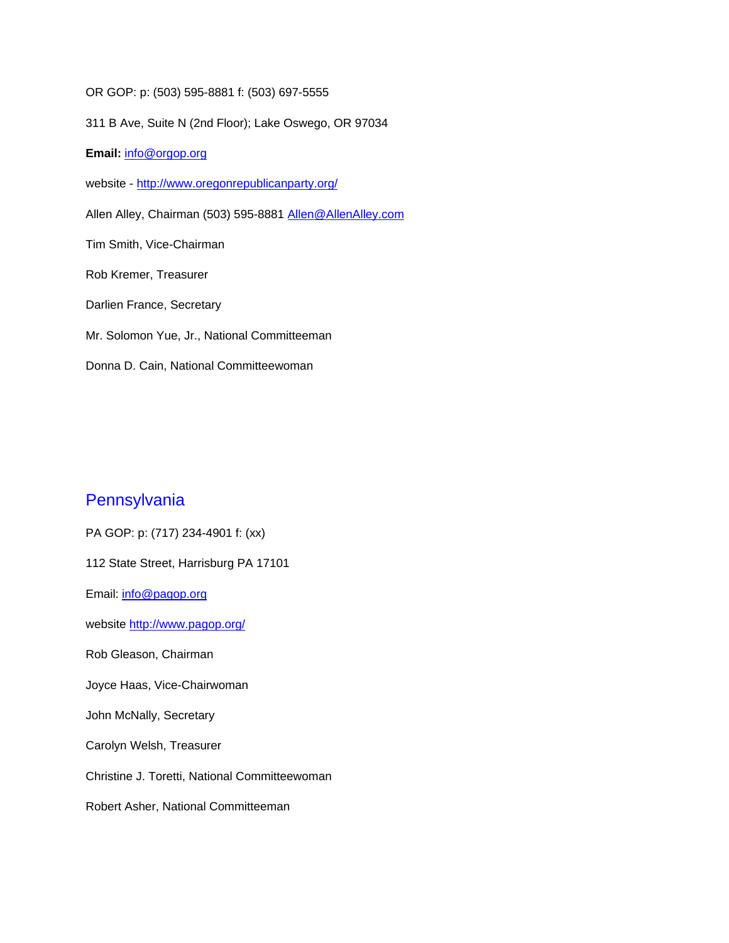OR GOP: p: (503) 595-8881 f: (503) 697-5555

311 B Ave, Suite N (2nd Floor); Lake Oswego, OR 97034

**Email:** info@orgop.org

website - http://www.oregonrepublicanparty.org/

Allen Alley, Chairman (503) 595-8881 Allen@AllenAlley.com

Tim Smith, Vice-Chairman

Rob Kremer, Treasurer

Darlien France, Secretary

Mr. Solomon Yue, Jr., National Committeeman

Donna D. Cain, National Committeewoman

## **Pennsylvania**

PA GOP: p: (717) 234-4901 f: (xx) 112 State Street, Harrisburg PA 17101 Email: info@pagop.org website http://www.pagop.org/ Rob Gleason, Chairman Joyce Haas, Vice-Chairwoman John McNally, Secretary Carolyn Welsh, Treasurer Christine J. Toretti, National Committeewoman Robert Asher, National Committeeman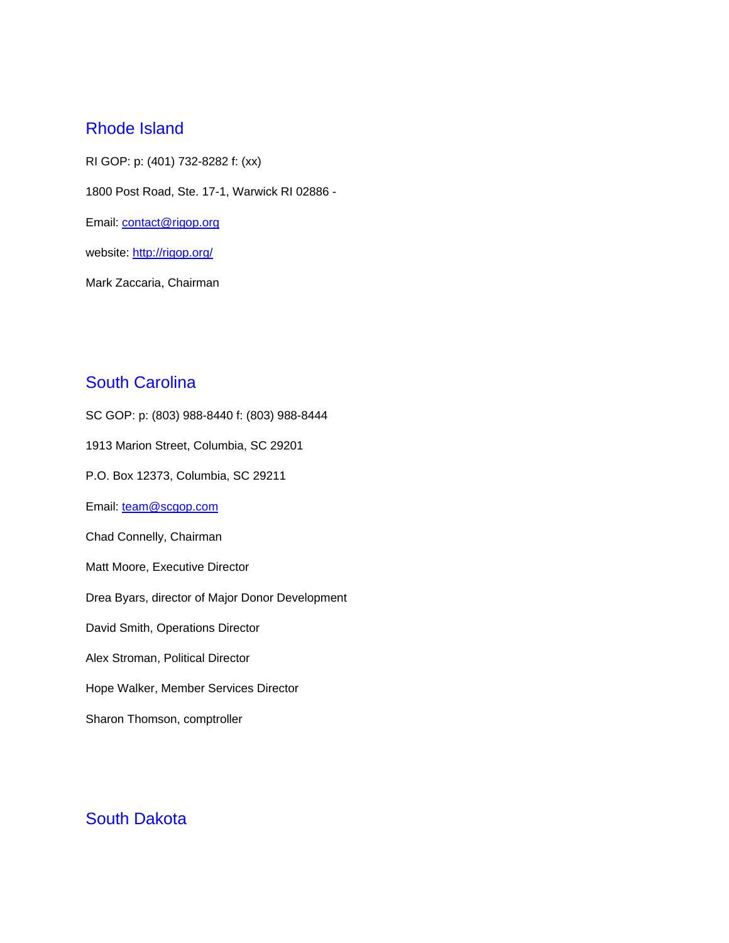#### Rhode Island

RI GOP: p: (401) 732-8282 f: (xx) 1800 Post Road, Ste. 17-1, Warwick RI 02886 - Email: contact@rigop.org website: http://rigop.org/

Mark Zaccaria, Chairman

## South Carolina

SC GOP: p: (803) 988-8440 f: (803) 988-8444 1913 Marion Street, Columbia, SC 29201 P.O. Box 12373, Columbia, SC 29211 Email: team@scgop.com Chad Connelly, Chairman Matt Moore, Executive Director Drea Byars, director of Major Donor Development David Smith, Operations Director Alex Stroman, Political Director Hope Walker, Member Services Director Sharon Thomson, comptroller

#### South Dakota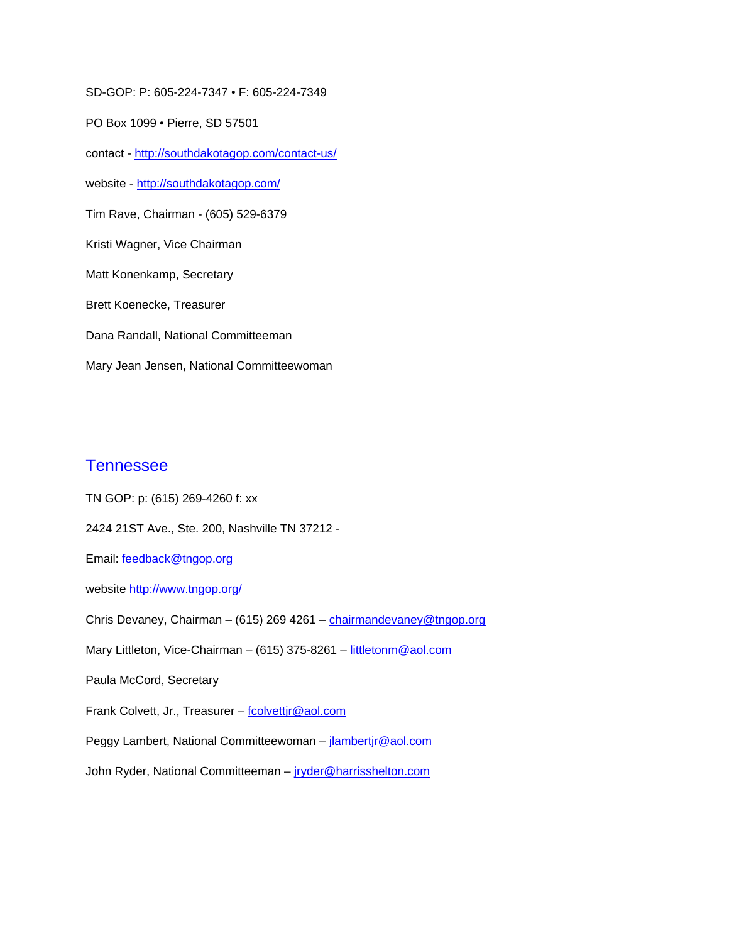SD-GOP: P: 605-224-7347 • F: 605-224-7349

PO Box 1099 • Pierre, SD 57501

contact - http://southdakotagop.com/contact-us/

website - http://southdakotagop.com/

Tim Rave, Chairman - (605) 529-6379

Kristi Wagner, Vice Chairman

Matt Konenkamp, Secretary

Brett Koenecke, Treasurer

Dana Randall, National Committeeman

Mary Jean Jensen, National Committeewoman

#### **Tennessee**

TN GOP: p: (615) 269-4260 f: xx 2424 21ST Ave., Ste. 200, Nashville TN 37212 - Email: feedback@tngop.org website http://www.tngop.org/ Chris Devaney, Chairman - (615) 269 4261 - chairmandevaney@tngop.org Mary Littleton, Vice-Chairman – (615) 375-8261 – littletonm@aol.com Paula McCord, Secretary Frank Colvett, Jr., Treasurer - fcolvettir@aol.com Peggy Lambert, National Committeewoman – jlambertjr@aol.com John Ryder, National Committeeman - jryder@harrisshelton.com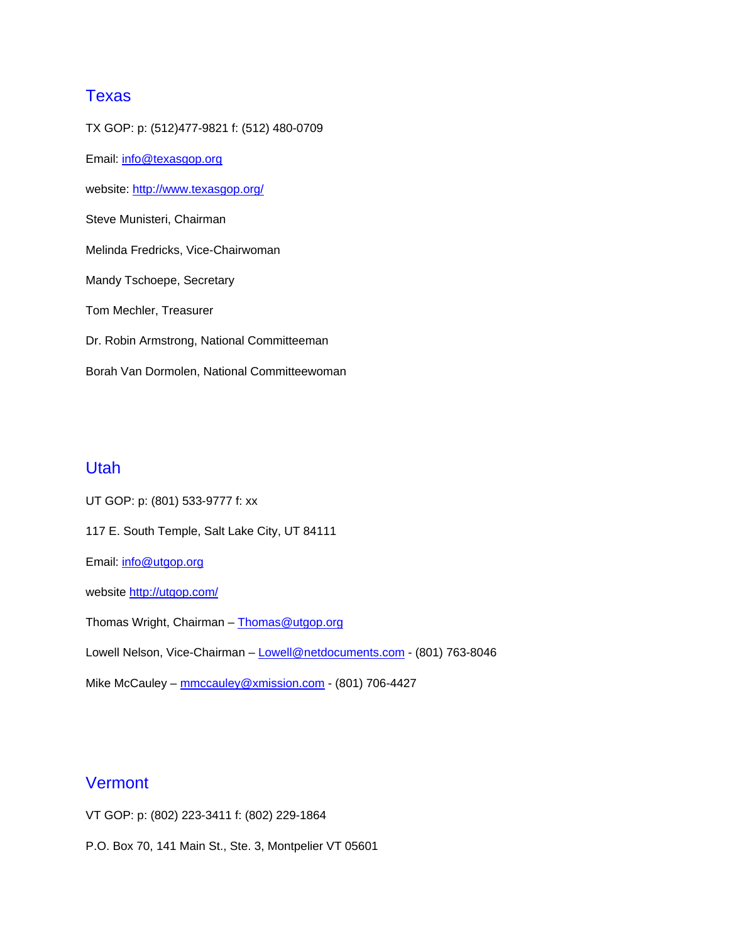## **Texas**

TX GOP: p: (512)477-9821 f: (512) 480-0709 Email: info@texasgop.org website: http://www.texasgop.org/ Steve Munisteri, Chairman Melinda Fredricks, Vice-Chairwoman Mandy Tschoepe, Secretary Tom Mechler, Treasurer Dr. Robin Armstrong, National Committeeman Borah Van Dormolen, National Committeewoman

#### Utah

UT GOP: p: (801) 533-9777 f: xx 117 E. South Temple, Salt Lake City, UT 84111 Email: info@utgop.org website http://utgop.com/ Thomas Wright, Chairman - Thomas@utgop.org Lowell Nelson, Vice-Chairman - Lowell@netdocuments.com - (801) 763-8046 Mike McCauley – mmccauley@xmission.com - (801) 706-4427

## **Vermont**

VT GOP: p: (802) 223-3411 f: (802) 229-1864

P.O. Box 70, 141 Main St., Ste. 3, Montpelier VT 05601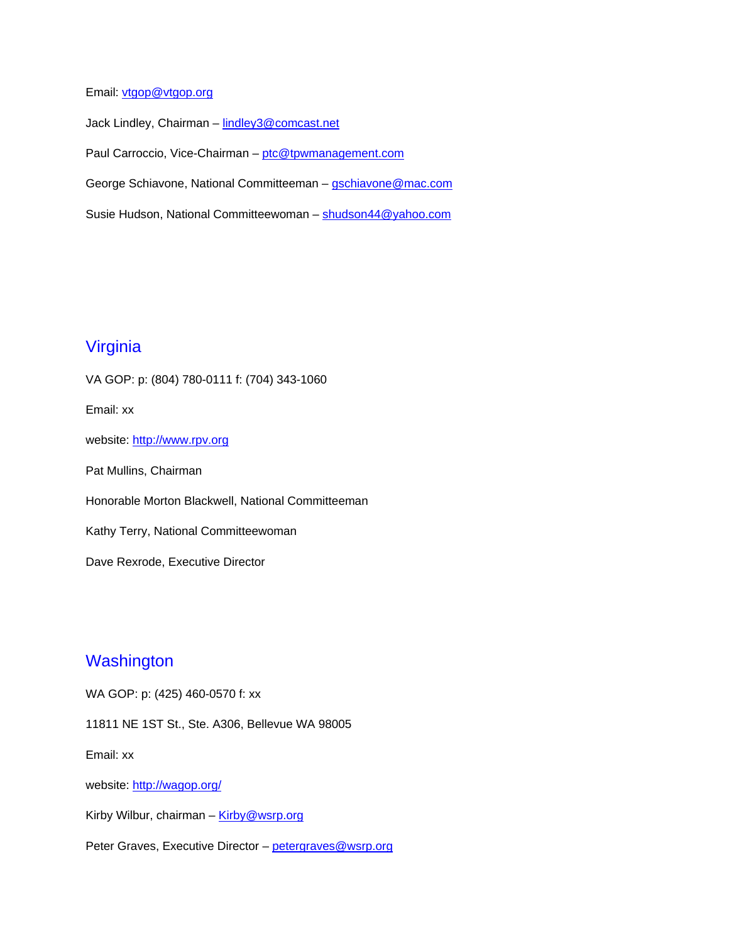Email: vtgop@vtgop.org

Jack Lindley, Chairman - lindley3@comcast.net Paul Carroccio, Vice-Chairman - ptc@tpwmanagement.com George Schiavone, National Committeeman – gschiavone@mac.com Susie Hudson, National Committeewoman – shudson44@yahoo.com

## Virginia

VA GOP: p: (804) 780-0111 f: (704) 343-1060 Email: xx website: http://www.rpv.org Pat Mullins, Chairman Honorable Morton Blackwell, National Committeeman Kathy Terry, National Committeewoman Dave Rexrode, Executive Director

## **Washington**

WA GOP: p: (425) 460-0570 f: xx

11811 NE 1ST St., Ste. A306, Bellevue WA 98005

Email: xx

website: http://wagop.org/

Kirby Wilbur, chairman -  $King@wsrp.org$ 

Peter Graves, Executive Director - petergraves@wsrp.org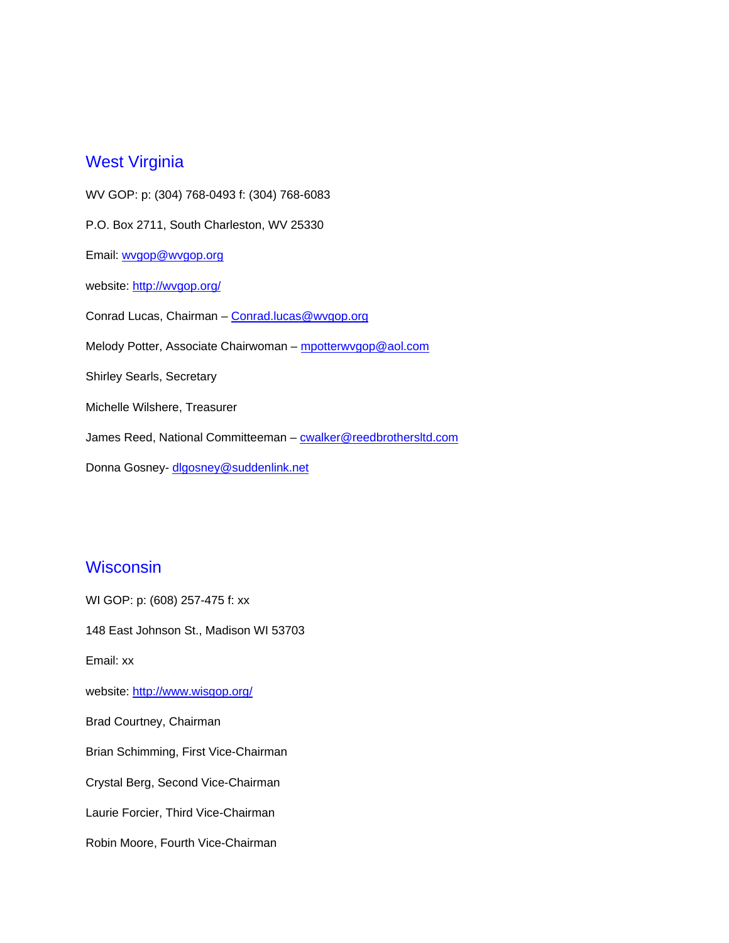#### West Virginia

WV GOP: p: (304) 768-0493 f: (304) 768-6083 P.O. Box 2711, South Charleston, WV 25330 Email: wvgop@wvgop.org website: http://wvgop.org/ Conrad Lucas, Chairman – Conrad.lucas@wvgop.org Melody Potter, Associate Chairwoman - mpotterwygop@aol.com Shirley Searls, Secretary Michelle Wilshere, Treasurer James Reed, National Committeeman - cwalker@reedbrothersltd.com Donna Gosney- dlgosney@suddenlink.net

#### **Wisconsin**

WI GOP: p: (608) 257-475 f: xx 148 East Johnson St., Madison WI 53703 Email: xx website: http://www.wisgop.org/ Brad Courtney, Chairman Brian Schimming, First Vice-Chairman Crystal Berg, Second Vice-Chairman Laurie Forcier, Third Vice-Chairman Robin Moore, Fourth Vice-Chairman